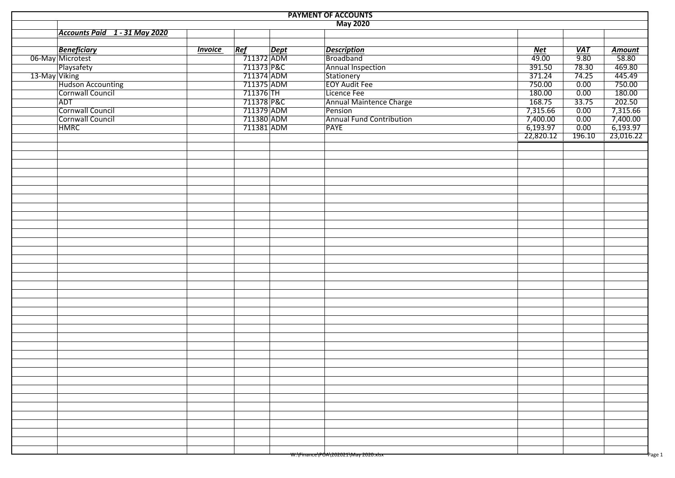| <b>PAYMENT OF ACCOUNTS</b> |                                                 |                |                                                                        |  |                                     |                        |                  |                                  |  |  |  |  |  |
|----------------------------|-------------------------------------------------|----------------|------------------------------------------------------------------------|--|-------------------------------------|------------------------|------------------|----------------------------------|--|--|--|--|--|
|                            | <b>May 2020</b>                                 |                |                                                                        |  |                                     |                        |                  |                                  |  |  |  |  |  |
|                            | Accounts Paid 1 - 31 May 2020                   |                |                                                                        |  |                                     |                        |                  |                                  |  |  |  |  |  |
|                            |                                                 |                |                                                                        |  |                                     |                        |                  |                                  |  |  |  |  |  |
|                            | <b>Beneficiary</b>                              | <b>Invoice</b> | Ref<br>ef Dept<br>711372 ADM<br>711373 P&C<br>711374 ADM<br>711375 ADM |  | <b>Description</b>                  | <b>Net</b>             | <b>VAT</b>       | <b>Amount</b>                    |  |  |  |  |  |
|                            | 06-May Microtest<br>Playsafety<br>13-May Viking |                |                                                                        |  | Broadband                           | $\frac{1}{49.00}$      | $\frac{1}{9.80}$ | 58.80                            |  |  |  |  |  |
|                            |                                                 |                |                                                                        |  | Annual Inspection                   | 391.50                 | 78.30            | 469.80                           |  |  |  |  |  |
|                            |                                                 |                |                                                                        |  | Stationery                          | 371.24                 | 74.25            | 445.49                           |  |  |  |  |  |
|                            | Hudson Accounting                               |                |                                                                        |  | <b>EOY Audit Fee</b>                | 750.00                 | 0.00             | 750.00                           |  |  |  |  |  |
|                            | Cornwall Council                                |                | 711376 TH                                                              |  | Licence Fee                         | 180.00                 | 0.00             | 180.00                           |  |  |  |  |  |
|                            | <b>ADT</b>                                      |                |                                                                        |  | Annual Maintence Charge             | 168.75                 | 33.75            | 202.50                           |  |  |  |  |  |
|                            | Cornwall Council                                |                | 711378<br>711379<br>711379<br>711380<br>ADM<br>711381<br>ADM           |  | Pension                             | 7,315.66               | 0.00             | 7,315.66<br>7,400.00<br>6,193.97 |  |  |  |  |  |
|                            | Cornwall Council                                |                |                                                                        |  | <b>Annual Fund Contribution</b>     | $7,400.00$<br>6,193.97 | 0.00             |                                  |  |  |  |  |  |
|                            | <b>HMRC</b>                                     |                |                                                                        |  | <b>PAYE</b>                         |                        | 0.00             |                                  |  |  |  |  |  |
|                            |                                                 |                |                                                                        |  |                                     | 22,820.12              | 196.10           | 23,016.22                        |  |  |  |  |  |
|                            |                                                 |                |                                                                        |  |                                     |                        |                  |                                  |  |  |  |  |  |
|                            |                                                 |                |                                                                        |  |                                     |                        |                  |                                  |  |  |  |  |  |
|                            |                                                 |                |                                                                        |  |                                     |                        |                  |                                  |  |  |  |  |  |
|                            |                                                 |                |                                                                        |  |                                     |                        |                  |                                  |  |  |  |  |  |
|                            |                                                 |                |                                                                        |  |                                     |                        |                  |                                  |  |  |  |  |  |
|                            |                                                 |                |                                                                        |  |                                     |                        |                  |                                  |  |  |  |  |  |
|                            |                                                 |                |                                                                        |  |                                     |                        |                  |                                  |  |  |  |  |  |
|                            |                                                 |                |                                                                        |  |                                     |                        |                  |                                  |  |  |  |  |  |
|                            |                                                 |                |                                                                        |  |                                     |                        |                  |                                  |  |  |  |  |  |
|                            |                                                 |                |                                                                        |  |                                     |                        |                  |                                  |  |  |  |  |  |
|                            |                                                 |                |                                                                        |  |                                     |                        |                  |                                  |  |  |  |  |  |
|                            |                                                 |                |                                                                        |  |                                     |                        |                  |                                  |  |  |  |  |  |
|                            |                                                 |                |                                                                        |  |                                     |                        |                  |                                  |  |  |  |  |  |
|                            |                                                 |                |                                                                        |  |                                     |                        |                  |                                  |  |  |  |  |  |
|                            |                                                 |                |                                                                        |  |                                     |                        |                  |                                  |  |  |  |  |  |
|                            |                                                 |                |                                                                        |  |                                     |                        |                  |                                  |  |  |  |  |  |
|                            |                                                 |                |                                                                        |  |                                     |                        |                  |                                  |  |  |  |  |  |
|                            |                                                 |                |                                                                        |  |                                     |                        |                  |                                  |  |  |  |  |  |
|                            |                                                 |                |                                                                        |  |                                     |                        |                  |                                  |  |  |  |  |  |
|                            |                                                 |                |                                                                        |  |                                     |                        |                  |                                  |  |  |  |  |  |
|                            |                                                 |                |                                                                        |  |                                     |                        |                  |                                  |  |  |  |  |  |
|                            |                                                 |                |                                                                        |  |                                     |                        |                  |                                  |  |  |  |  |  |
|                            |                                                 |                |                                                                        |  |                                     |                        |                  |                                  |  |  |  |  |  |
|                            |                                                 |                |                                                                        |  |                                     |                        |                  |                                  |  |  |  |  |  |
|                            |                                                 |                |                                                                        |  |                                     |                        |                  |                                  |  |  |  |  |  |
|                            |                                                 |                |                                                                        |  |                                     |                        |                  |                                  |  |  |  |  |  |
|                            |                                                 |                |                                                                        |  |                                     |                        |                  |                                  |  |  |  |  |  |
|                            |                                                 |                |                                                                        |  |                                     |                        |                  |                                  |  |  |  |  |  |
|                            |                                                 |                |                                                                        |  |                                     |                        |                  |                                  |  |  |  |  |  |
|                            |                                                 |                |                                                                        |  |                                     |                        |                  |                                  |  |  |  |  |  |
|                            |                                                 |                |                                                                        |  |                                     |                        |                  |                                  |  |  |  |  |  |
|                            |                                                 |                |                                                                        |  |                                     |                        |                  |                                  |  |  |  |  |  |
|                            |                                                 |                |                                                                        |  |                                     |                        |                  |                                  |  |  |  |  |  |
|                            |                                                 |                |                                                                        |  |                                     |                        |                  |                                  |  |  |  |  |  |
|                            |                                                 |                |                                                                        |  |                                     |                        |                  |                                  |  |  |  |  |  |
|                            |                                                 |                |                                                                        |  |                                     |                        |                  |                                  |  |  |  |  |  |
|                            |                                                 |                |                                                                        |  | w:\Finance\POA\202021\May 2020.xisx |                        |                  | Page 1                           |  |  |  |  |  |